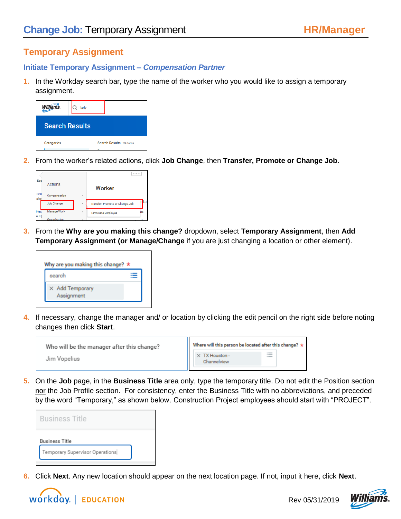# **Temporary Assignment**

# **Initiate Temporary Assignment –** *Compensation Partner*

**1.** In the Workday search bar, type the name of the worker who you would like to assign a temporary assignment.



**2.** From the worker's related actions, click **Job Change**, then **Transfer, Promote or Change Job**.

| Eag           |                    |               | $+ + + + +$                     |    |
|---------------|--------------------|---------------|---------------------------------|----|
|               | Actions            |               | Worker                          |    |
| sen<br>alyst  | Compensation       | s             |                                 |    |
|               | Job Change         | $\rightarrow$ | Transfer, Promote or Change Job | а  |
| Hes<br>er III | <b>Manage Work</b> | $\mathbf{r}$  | <b>Terminate Employee</b>       | ne |
| <b>DO</b>     | Organization       |               | <b>Corp.</b>                    |    |

**3.** From the **Why are you making this change?** dropdown, select **Temporary Assignment**, then **Add Temporary Assignment (or Manage/Change** if you are just changing a location or other element).



**4.** If necessary, change the manager and/ or location by clicking the edit pencil on the right side before noting changes then click **Start**.

| Who will be the manager after this change? | Where will this person be located after this change? |   |
|--------------------------------------------|------------------------------------------------------|---|
| Jim Vopelius                               | $\times$ TX Houston -<br>Channelview                 | 這 |

**5.** On the **Job** page, in the **Business Title** area only, type the temporary title. Do not edit the Position section nor the Job Profile section. For consistency, enter the Business Title with no abbreviations, and preceded by the word "Temporary," as shown below. Construction Project employees should start with "PROJECT".

| <b>Business Title</b> |  |
|-----------------------|--|
|                       |  |
| Business Title        |  |

**6.** Click **Next**. Any new location should appear on the next location page. If not, input it here, click **Next**.



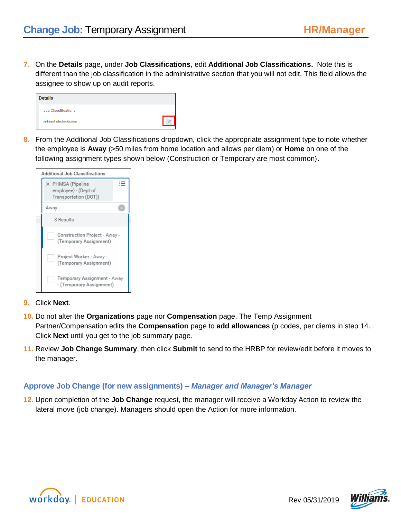**7.** On the **Details** page, under **Job Classifications**, edit **Additional Job Classifications.** Note this is different than the job classification in the administrative section that you will not edit. This field allows the assignee to show up on audit reports.

| <b>Details</b>                        |  |
|---------------------------------------|--|
| Job Classifications                   |  |
| <b>Additional Job Classifications</b> |  |

**8.** From the Additional Job Classifications dropdown, click the appropriate assignment type to note whether the employee is **Away** (>50 miles from home location and allows per diem) or **Home** on one of the following assignment types shown below (Construction or Temporary are most common)**.** 

|                                                                    | <b>Additional Job Classifications</b>                   |  |
|--------------------------------------------------------------------|---------------------------------------------------------|--|
| X PHMSA (Pipeline<br>employee) - (Dept of<br>Transportation (DOT)) |                                                         |  |
| Away                                                               |                                                         |  |
|                                                                    | 3 Results                                               |  |
| Construction Project - Away -<br>(Temporary Assignment)            |                                                         |  |
|                                                                    | Project Worker - Away -<br>(Temporary Assignment)       |  |
|                                                                    | Temporary Assignment - Away<br>- (Temporary Assignment) |  |

- **9.** Click **Next**.
- **10.** Do not alter the **Organizations** page nor **Compensation** page. The Temp Assignment Partner/Compensation edits the **Compensation** page to **add allowances** (p codes, per diems in step 14. Click **Next** until you get to the job summary page.
- **11.** Review **Job Change Summary**, then click **Submit** to send to the HRBP for review/edit before it moves to the manager.

# **Approve Job Change (for new assignments) –** *Manager and Manager's Manager*

**12.** Upon completion of the **Job Change** request, the manager will receive a Workday Action to review the lateral move (job change). Managers should open the Action for more information.





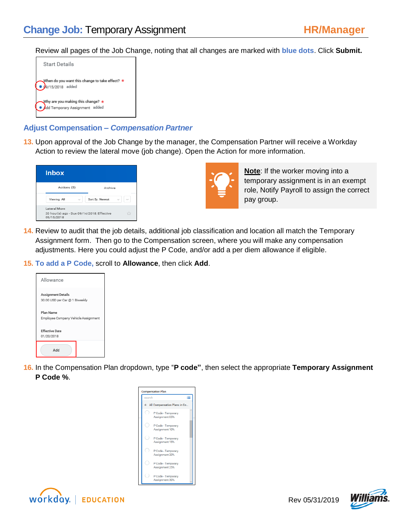Review all pages of the Job Change, noting that all changes are marked with **blue dots**. Click **Submit.**



#### **Adjust Compensation –** *Compensation Partner*

**13.** Upon approval of the Job Change by the manager, the Compensation Partner will receive a Workday Action to review the lateral move (job change). Open the Action for more information.

| <b>Inbox</b>                                                             |                 |
|--------------------------------------------------------------------------|-----------------|
| Actions (5)                                                              | Archive         |
| Viewing: All                                                             | Sort By: Newest |
| Lateral Move<br>20 hour(s) ago - Due 09/14/2018; Effective<br>09/15/2018 | Ó               |



**Note**: If the worker moving into a temporary assignment is in an exempt role, Notify Payroll to assign the correct pay group.

- **14.** Review to audit that the job details, additional job classification and location all match the Temporary Assignment form. Then go to the Compensation screen, where you will make any compensation adjustments. Here you could adjust the P Code, and/or add a per diem allowance if eligible.
- **15. To add a P Code,** scroll to **Allowance**, then click **Add**.

| Allowance                                                   |
|-------------------------------------------------------------|
| <b>Assignment Details</b><br>30.00 USD per Car @ 1 Biweekly |
| Plan Name<br>Employee Company Vehicle Assignment            |
| <b>Effective Date</b><br>01/20/2018                         |
| Add                                                         |

**16.** In the Compensation Plan dropdown, type "**P code"**, then select the appropriate **Temporary Assignment P Code %**.





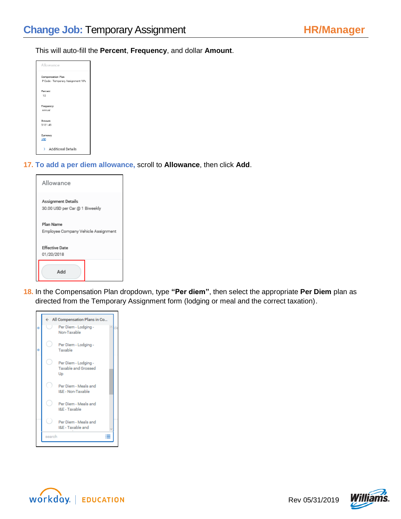#### This will auto-fill the **Percent**, **Frequency**, and dollar **Amount**.

| Allowance                                                     |  |
|---------------------------------------------------------------|--|
| <b>Compensation Plan</b><br>P Code - Temporary Assignment 10% |  |
| Percent<br>10                                                 |  |
| Frequency<br>Annual                                           |  |
| Amount<br>5,131.46                                            |  |
| Currency<br><b>USD</b>                                        |  |
| <b>Additional Details</b><br>>                                |  |

#### **17. To add a per diem allowance,** scroll to **Allowance**, then click **Add**.

| Allowance                                            |  |
|------------------------------------------------------|--|
| Assignment Details<br>30.00 USD per Car @ 1 Biweekly |  |
| Plan Name<br>Employee Company Vehicle Assignment     |  |
| <b>Effective Date</b><br>01/20/2018                  |  |
| Add                                                  |  |

**18.** In the Compensation Plan dropdown, type **"Per diem"**, then select the appropriate **Per Diem** plan as directed from the Temporary Assignment form (lodging or meal and the correct taxation).





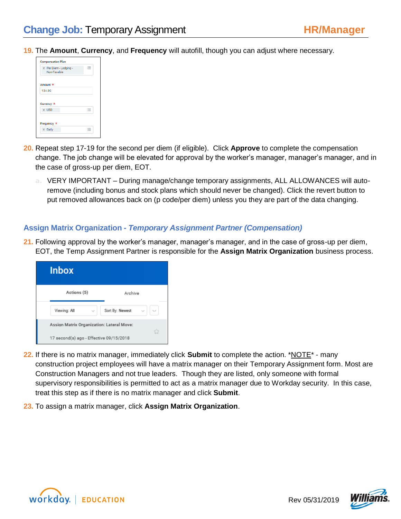**19.** The **Amount**, **Currency**, and **Frequency** will autofill, though you can adjust where necessary.



- **20.** Repeat step 17-19 for the second per diem (if eligible). Click **Approve** to complete the compensation change. The job change will be elevated for approval by the worker's manager, manager's manager, and in the case of gross-up per diem, EOT.
	- **a.** VERY IMPORTANT During manage/change temporary assignments, ALL ALLOWANCES will autoremove (including bonus and stock plans which should never be changed). Click the revert button to put removed allowances back on (p code/per diem) unless you they are part of the data changing.

#### **Assign Matrix Organization -** *Temporary Assignment Partner (Compensation)*

**21.** Following approval by the worker's manager, manager's manager, and in the case of gross-up per diem, EOT, the Temp Assignment Partner is responsible for the **Assign Matrix Organization** business process.

| <b>Inbox</b>                              |                 |
|-------------------------------------------|-----------------|
| Actions (5)                               | Archive         |
| Viewing: All                              | Sort By: Newest |
| Assign Matrix Organization: Lateral Move: | û               |
| 17 second(s) ago - Effective 09/15/2018   |                 |

- **22.** If there is no matrix manager, immediately click **Submit** to complete the action. \*NOTE\* many construction project employees will have a matrix manager on their Temporary Assignment form. Most are Construction Managers and not true leaders. Though they are listed, only someone with formal supervisory responsibilities is permitted to act as a matrix manager due to Workday security. In this case, treat this step as if there is no matrix manager and click **Submit**.
- **23.** To assign a matrix manager, click **Assign Matrix Organization**.



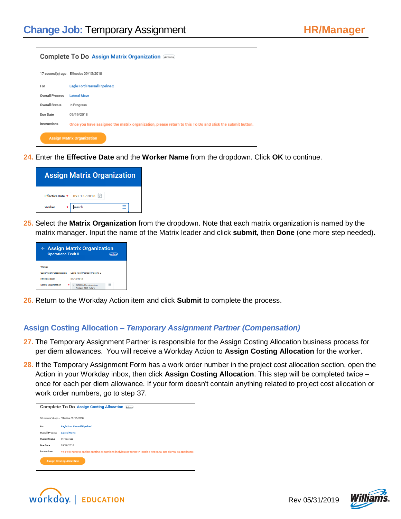| Complete To Do Assign Matrix Organization Actions |                                                                                                          |  |  |  |
|---------------------------------------------------|----------------------------------------------------------------------------------------------------------|--|--|--|
|                                                   | 17 second(s) ago - Effective 09/15/2018                                                                  |  |  |  |
| For                                               | Eagle Ford Pearsall Pipeline 2                                                                           |  |  |  |
| Overall Process                                   | <b>Lateral Move</b>                                                                                      |  |  |  |
| <b>Overall Status</b>                             | In Progress                                                                                              |  |  |  |
| Due Date                                          | 09/19/2018                                                                                               |  |  |  |
| Instructions                                      | Once you have assigned the matrix organization, please return to this To Do and click the submit button. |  |  |  |
| <b>Assign Matrix Organization</b>                 |                                                                                                          |  |  |  |

**24.** Enter the **Effective Date** and the **Worker Name** from the dropdown. Click **OK** to continue.



**25.** Select the **Matrix Organization** from the dropdown. Note that each matrix organization is named by the matrix manager. Input the name of the Matrix leader and click **submit,** then **Done** (one more step needed)**.**

| <b>Operations Tech II</b>       | $\leftarrow$ Assign Matrix Organization  |                         |
|---------------------------------|------------------------------------------|-------------------------|
| Worker                          |                                          |                         |
| <b>Supervisory Organization</b> | Eagle Ford Pearsall Pipeline 2           |                         |
| <b>Effective Date</b>           | 09/13/2018                               |                         |
| <b>Matrix Organization</b>      | 123456 Construction<br>Project ABC (Mark | 1.0000<br>$\sim$<br>$=$ |

**26.** Return to the Workday Action item and click **Submit** to complete the process.

# **Assign Costing Allocation –** *Temporary Assignment Partner (Compensation)*

- **27.** The Temporary Assignment Partner is responsible for the Assign Costing Allocation business process for per diem allowances. You will receive a Workday Action to **Assign Costing Allocation** for the worker.
- **28.** If the Temporary Assignment Form has a work order number in the project cost allocation section, open the Action in your Workday inbox, then click **Assign Costing Allocation**. This step will be completed twice – once for each per diem allowance. If your form doesn't contain anything related to project cost allocation or work order numbers, go to step 37.

| <b>Complete To Do Assign Costing Allocation Actions</b>                                                      |  |  |  |
|--------------------------------------------------------------------------------------------------------------|--|--|--|
|                                                                                                              |  |  |  |
| 36 minute(s) ago - Effective 09/15/2018                                                                      |  |  |  |
| <b>Eagle Ford Pearsall Pipeline 2</b>                                                                        |  |  |  |
| Lateral Move:                                                                                                |  |  |  |
| In Progress                                                                                                  |  |  |  |
| 09/19/2018                                                                                                   |  |  |  |
| You will need to assign costing allocations individually for both lodging and meal per diems, as applicable. |  |  |  |
| <b>Assign Costing Allocation</b>                                                                             |  |  |  |
|                                                                                                              |  |  |  |
|                                                                                                              |  |  |  |



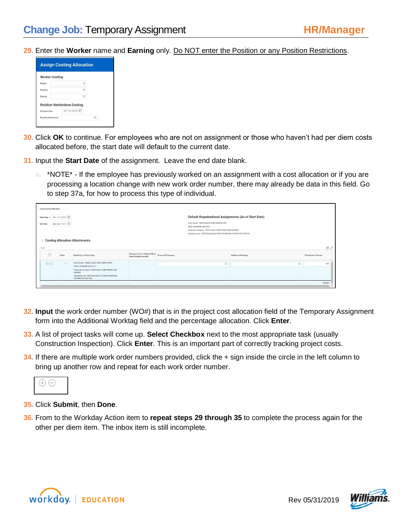**29.** Enter the **Worker** name and **Earning** only. Do NOT enter the Position or any Position Restrictions.



- **30.** Click **OK** to continue. For employees who are not on assignment or those who haven't had per diem costs allocated before, the start date will default to the current date.
- **31.** Input the **Start Date** of the assignment. Leave the end date blank.
	- **a.** \*NOTE\* If the employee has previously worked on an assignment with a cost allocation or if you are processing a location change with new work order number, there may already be data in this field. Go to step 37a, for how to process this type of individual.

| Copy Costing Allocation |                                                                                                                                                                                                              |                                                                                                                                                                                                          |                                                          |                    |                            |                       |
|-------------------------|--------------------------------------------------------------------------------------------------------------------------------------------------------------------------------------------------------------|----------------------------------------------------------------------------------------------------------------------------------------------------------------------------------------------------------|----------------------------------------------------------|--------------------|----------------------------|-----------------------|
|                         | Default Organizational Assignments (As of Start Date)<br>Start Date * 09 / 13 / 2018 日                                                                                                                       |                                                                                                                                                                                                          |                                                          |                    |                            |                       |
| <b>End Date</b>         | Cont Center: 76605 FAGLE FORD NORTH OPS<br>MM/DD/YYYYY □<br>FERC: 00000000 DEFAULT<br>Financial Company: 7029 EAGLE FORD FRANCHISE MIRROR<br>Operating Unit: 70007029 EAGLE FORD FRANCHISE INTERFACE POSTING |                                                                                                                                                                                                          |                                                          |                    |                            |                       |
| 1 item                  |                                                                                                                                                                                                              | <b>Costing Allocation Attachments</b>                                                                                                                                                                    |                                                          |                    |                            | 国式                    |
| $(+)$                   | Order                                                                                                                                                                                                        | Default (As of Start Date)                                                                                                                                                                               | Required with no Default (Must<br>have Costing Override) | *Financial Company | <b>Additional Worktags</b> | *Distribution Percent |
| $\oplus$                | $\equiv$ $\forall$                                                                                                                                                                                           | Cost Center: 76605 EAGLE FORD NORTH OPS<br>FERC: 00000000 DEFAULT<br>Financial Company: 7029 EAGLE FORD FRANCHISE<br>MIRROR<br>Operating Unit: 70007029 EAGLE FORD FRANCHISE<br><b>INTERFACE POSTING</b> |                                                          | 三                  | $\equiv$                   | 100                   |
|                         |                                                                                                                                                                                                              |                                                                                                                                                                                                          |                                                          |                    |                            | 100.00%               |

- **32. Input** the work order number (WO#) that is in the project cost allocation field of the Temporary Assignment form into the Additional Worktag field and the percentage allocation. Click **Enter**.
- **33.** A list of project tasks will come up. **Select Checkbox** next to the most appropriate task (usually Construction Inspection). Click **Enter**. This is an important part of correctly tracking project costs.
- **34.** If there are multiple work order numbers provided, click the + sign inside the circle in the left column to bring up another row and repeat for each work order number.



#### **35.** Click **Submit**, then **Done**.

**36.** From to the Workday Action item to **repeat steps 29 through 35** to complete the process again for the other per diem item. The inbox item is still incomplete.



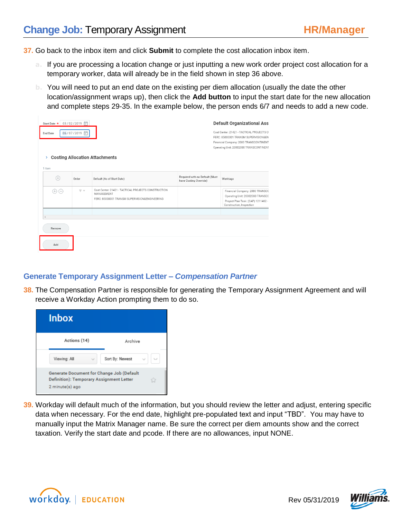**37.** Go back to the inbox item and click **Submit** to complete the cost allocation inbox item.

- **a.** If you are processing a location change or just inputting a new work order project cost allocation for a temporary worker, data will already be in the field shown in step 36 above.
- **b.** You will need to put an end date on the existing per diem allocation (usually the date the other location/assignment wraps up), then click the **Add button** to input the start date for the new allocation and complete steps 29-35. In the example below, the person ends 6/7 and needs to add a new code.

| Start Date * |                   | 03/02/2019 日                         |                                                                   |                                                          | <b>Default Organizational Ass</b>                                                 |
|--------------|-------------------|--------------------------------------|-------------------------------------------------------------------|----------------------------------------------------------|-----------------------------------------------------------------------------------|
| End Date     |                   | 06/07/2019 同                         |                                                                   |                                                          | Cost Center: 21421 - TACTICAL PROJECTS CI<br>FERC: 85000001 TRANSM SUPERVISION&EN |
|              |                   |                                      |                                                                   |                                                          | Financial Company: 2080 TRANSCONTINENT<br>Operating Unit: 20002080 TRANSCONTINENT |
| ≻            |                   |                                      | <b>Costing Allocation Attachments</b>                             |                                                          |                                                                                   |
| 1 item       |                   |                                      |                                                                   |                                                          |                                                                                   |
| $^{(+)}$     |                   | Order                                | Default (As of Start Date)                                        | Required with no Default (Must<br>have Costing Override) | Worktags                                                                          |
| $^{(+)}$     | $\left( -\right)$ | $\overline{\mathbb{v}}$ $\mathbb{v}$ | Cost Center: 21421 - TACTICAL PROJECTS CONSTRUCTION<br>MANAGEMENT |                                                          | Financial Company: 2080 TRANSCO                                                   |
|              |                   |                                      | FERC: 85000001 TRANSM SUPERVISION&ENGINEERING                     |                                                          | Operating Unit: 20002080 TRANSCC                                                  |
|              |                   |                                      |                                                                   |                                                          | Project Plan Task: (CAP) 1211462 -<br>Construction, Inspection                    |
|              |                   |                                      |                                                                   |                                                          |                                                                                   |
|              |                   |                                      |                                                                   |                                                          |                                                                                   |
|              |                   |                                      |                                                                   |                                                          |                                                                                   |
| Remove       |                   |                                      |                                                                   |                                                          |                                                                                   |
| Add          |                   |                                      |                                                                   |                                                          |                                                                                   |

# **Generate Temporary Assignment Letter –** *Compensation Partner*

**38.** The Compensation Partner is responsible for generating the Temporary Assignment Agreement and will receive a Workday Action prompting them to do so.



**39.** Workday will default much of the information, but you should review the letter and adjust, entering specific data when necessary. For the end date, highlight pre-populated text and input "TBD". You may have to manually input the Matrix Manager name. Be sure the correct per diem amounts show and the correct taxation. Verify the start date and pcode. If there are no allowances, input NONE.



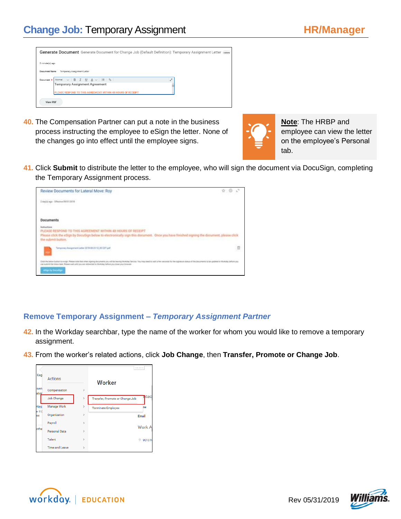|                      | Generate Document Generate Document for Change Job (Default Definition): Temporary Assignment Letter Action |    |
|----------------------|-------------------------------------------------------------------------------------------------------------|----|
| 2 minute(s) ago      |                                                                                                             |    |
| <b>Document Name</b> | Temporary Assignment Letter                                                                                 |    |
| Document *           | Normal $\vee$ <b>B</b> $I$ <b>U</b> $A \vee$ $\equiv$ $\Diamond$                                            | J. |
|                      | Temporary Assignment Agreement                                                                              |    |
|                      | PLEASE RESPOND TO THIS AGREEMENT WITHIN 48 HOURS OF RECEIPT                                                 |    |
| <b>View PDF</b>      |                                                                                                             |    |

**40.** The Compensation Partner can put a note in the business process instructing the employee to eSign the letter. None of the changes go into effect until the employee signs.



**Note**: The HRBP and employee can view the letter on the employee's Personal tab.

**41.** Click **Submit** to distribute the letter to the employee, who will sign the document via DocuSign, completing the Temporary Assignment process.

| Review Documents for Lateral Move: Roy                                                                                                                                                                                                                                                                                                                                 | ÷ |
|------------------------------------------------------------------------------------------------------------------------------------------------------------------------------------------------------------------------------------------------------------------------------------------------------------------------------------------------------------------------|---|
| 2 midd ago - Effectue BR/ES/2016                                                                                                                                                                                                                                                                                                                                       |   |
| <b>Documents</b>                                                                                                                                                                                                                                                                                                                                                       |   |
| <b>Instructions</b><br>PLEASE RESPOND TO THIS AGREEMENT WITHON 40 HOURS OF RECEIPT<br>Please click the eSign by DocuSign below to electronically sign this document. Once you have finished signing the document, please click<br>the submit button.                                                                                                                   |   |
| Temporary Assupptrent Letter 2018-08-23 12,06 CET pdf.                                                                                                                                                                                                                                                                                                                 |   |
| Club the better butter to arrange. Platean econ that when agreed decomposite you will be beenly fitted be fair to be in read to wait to all a first amount for the disposant status of the documents to be undertaken as the d<br>(an audated the biblio built. Please suit until you are indiverted to Warking Selver you coust your browner.)<br>ethical by bluesday |   |

# **Remove Temporary Assignment –** *Temporary Assignment Partner*

- **42.** In the Workday searchbar, type the name of the worker for whom you would like to remove a temporary assignment.
- **43.** From the worker's related actions, click **Job Change**, then **Transfer, Promote or Change Job**.

| Eag            | <b>Actions</b>        |               | Worker                                  |
|----------------|-----------------------|---------------|-----------------------------------------|
| sen<br>alyst   | Compensation          | $\,$          |                                         |
|                | Job Change            | $\mathcal{P}$ | ntac<br>Transfer, Promote or Change Job |
| Hes<br>er II i | Manage Work           | $\rightarrow$ | ne<br><b>Terminate Employee</b>         |
| ee             | Organization          | $\mathbf{A}$  | Email                                   |
|                | Payroll               | $\mathcal{P}$ | <b>Work A</b>                           |
| othe           | Personal Data         | $\mathbf{S}$  |                                         |
|                | Talent                | S             | 9013N                                   |
|                | <b>Time and Leave</b> | $\mathbf{S}$  |                                         |



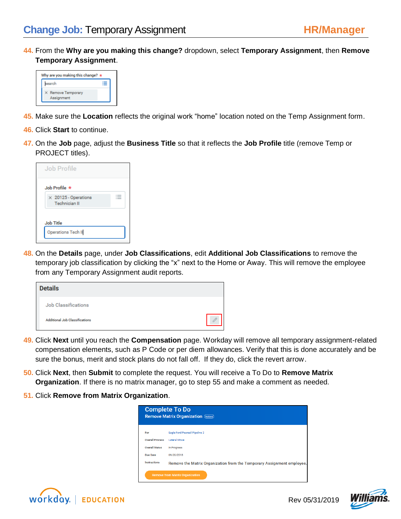**44.** From the **Why are you making this change?** dropdown, select **Temporary Assignment**, then **Remove Temporary Assignment**.

| Why are you making this change? $\star$ |  |  |  |
|-----------------------------------------|--|--|--|
| search                                  |  |  |  |
| X Remove Temporary<br>Assignment        |  |  |  |

- **45.** Make sure the **Location** reflects the original work "home" location noted on the Temp Assignment form.
- **46.** Click **Start** to continue.
- **47.** On the **Job** page, adjust the **Business Title** so that it reflects the **Job Profile** title (remove Temp or PROJECT titles).

| Job Profile                                         |  |
|-----------------------------------------------------|--|
| Job Profile $\star$                                 |  |
| $\times$ 20125 - Operations<br><b>Technician II</b> |  |

**48.** On the **Details** page, under **Job Classifications**, edit **Additional Job Classifications** to remove the temporary job classification by clicking the "x" next to the Home or Away. This will remove the employee from any Temporary Assignment audit reports.

| <b>Details</b>                        |  |
|---------------------------------------|--|
| <b>Job Classifications</b>            |  |
| <b>Additional Job Classifications</b> |  |

- **49.** Click **Next** until you reach the **Compensation** page. Workday will remove all temporary assignment-related compensation elements, such as P Code or per diem allowances. Verify that this is done accurately and be sure the bonus, merit and stock plans do not fall off. If they do, click the revert arrow.
- **50.** Click **Next**, then **Submit** to complete the request. You will receive a To Do to **Remove Matrix Organization**. If there is no matrix manager, go to step 55 and make a comment as needed.
- **51.** Click **Remove from Matrix Organization**.